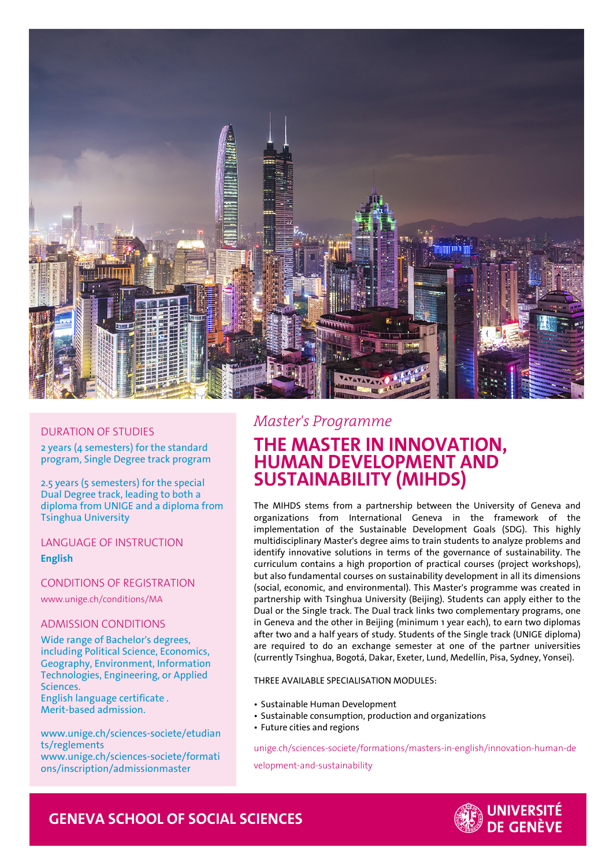

## DURATION OF STUDIES

2 years (4 semesters) for the standard program, Single Degree track program

2.5 years (5 semesters) for the special Dual Degree track, leading to both a diploma from UNIGE and a diploma from Tsinghua University

LANGUAGE OF INSTRUCTION

**English**

## CONDITIONS OF REGISTRATION

www.unige.ch/conditions/MA

## ADMISSION CONDITIONS

Wide range of Bachelor's degrees, including Political Science, Economics, Geography, Environment, Information Technologies, Engineering, or Applied Sciences. English language certificate . Merit-based admission.

www.unige.ch/sciences-societe/etudian ts/reglements www.unige.ch/sciences-societe/formati ons/inscription/admissionmaster

## *Master's Programme*

# **THE MASTER IN INNOVATION, HUMAN DEVELOPMENT AND SUSTAINABILITY (MIHDS)**

The MIHDS stems from a partnership between the University of Geneva and organizations from International Geneva in the framework of the implementation of the Sustainable Development Goals (SDG). This highly multidisciplinary Master's degree aims to train students to analyze problems and identify innovative solutions in terms of the governance of sustainability. The curriculum contains a high proportion of practical courses (project workshops), but also fundamental courses on sustainability development in all its dimensions (social, economic, and environmental). This Master's programme was created in partnership with Tsinghua University (Beijing). Students can apply either to the Dual or the Single track. The Dual track links two complementary programs, one in Geneva and the other in Beijing (minimum 1 year each), to earn two diplomas after two and a half years of study. Students of the Single track (UNIGE diploma) are required to do an exchange semester at one of the partner universities (currently Tsinghua, Bogotá, Dakar, Exeter, Lund, Medellín, Pisa, Sydney, Yonsei).

## THREE AVAILABLE SPECIALISATION MODULES:

- Sustainable Human Development
- Sustainable consumption, production and organizations
- Future cities and regions

unige.ch/sciences-societe/formations/masters-in-english/innovation-human-de

velopment-and-sustainability



## **GENEVA SCHOOL OF SOCIAL SCIENCES**